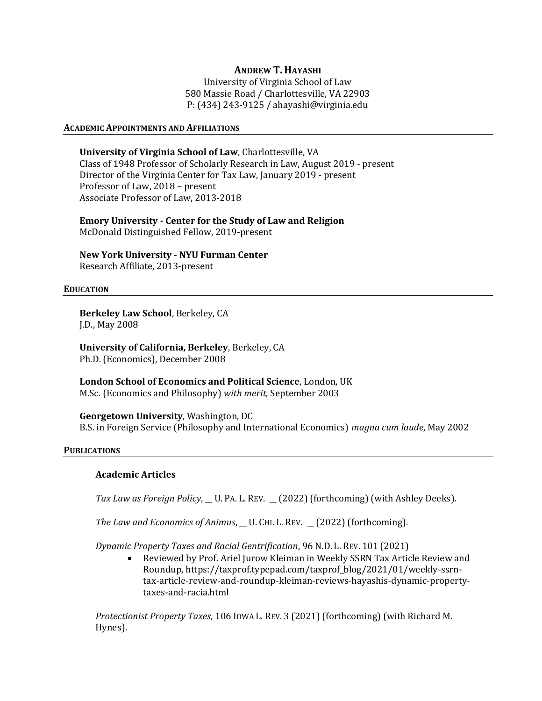## ANDREW T. HAYASHI

University of Virginia School of Law 580 Massie Road / Charlottesville, VA 22903 P: (434) 243-9125 / ahayashi@virginia.edu

#### ACADEMIC APPOINTMENTS AND AFFILIATIONS

University of Virginia School of Law, Charlottesville, VA Class of 1948 Professor of Scholarly Research in Law, August 2019 - present Director of the Virginia Center for Tax Law, January 2019 - present Professor of Law, 2018 – present Associate Professor of Law, 2013-2018

Emory University - Center for the Study of Law and Religion McDonald Distinguished Fellow, 2019-present

New York University - NYU Furman Center Research Affiliate, 2013-present

#### EDUCATION

Berkeley Law School, Berkeley, CA J.D., May 2008

University of California, Berkeley, Berkeley, CA Ph.D. (Economics), December 2008

London School of Economics and Political Science, London, UK M.Sc. (Economics and Philosophy) with merit, September 2003

Georgetown University, Washington, DC B.S. in Foreign Service (Philosophy and International Economics) magna cum laude, May 2002

#### **PUBLICATIONS**

### Academic Articles

Tax Law as Foreign Policy, \_U. PA. L. REV. \_ (2022) (forthcoming) (with Ashley Deeks).

The Law and Economics of Animus, \_ U. CHI. L. REV. \_ (2022) (forthcoming).

Dynamic Property Taxes and Racial Gentrification, 96 N.D. L. REV. 101 (2021)

 Reviewed by Prof. Ariel Jurow Kleiman in Weekly SSRN Tax Article Review and Roundup, https://taxprof.typepad.com/taxprof\_blog/2021/01/weekly-ssrntax-article-review-and-roundup-kleiman-reviews-hayashis-dynamic-propertytaxes-and-racia.html

Protectionist Property Taxes, 106 IOWA L. REV. 3 (2021) (forthcoming) (with Richard M. Hynes).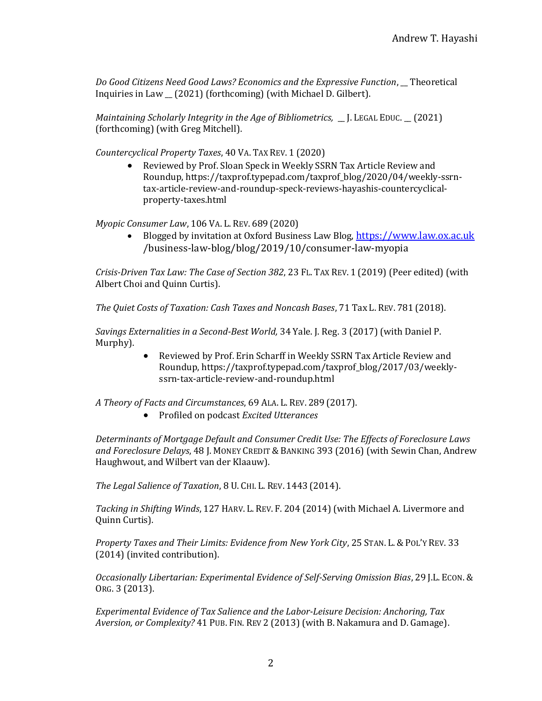Do Good Citizens Need Good Laws? Economics and the Expressive Function, \_Theoretical Inquiries in Law \_\_ (2021) (forthcoming) (with Michael D. Gilbert).

Maintaining Scholarly Integrity in the Age of Bibliometrics, \_\_ J. LEGAL EDUC. \_\_ (2021) (forthcoming) (with Greg Mitchell).

Countercyclical Property Taxes, 40 VA. TAX REV. 1 (2020)

 Reviewed by Prof. Sloan Speck in Weekly SSRN Tax Article Review and Roundup, https://taxprof.typepad.com/taxprof\_blog/2020/04/weekly-ssrntax-article-review-and-roundup-speck-reviews-hayashis-countercyclicalproperty-taxes.html

Myopic Consumer Law, 106 VA. L. REV. 689 (2020)

 Blogged by invitation at Oxford Business Law Blog, https://www.law.ox.ac.uk /business-law-blog/blog/2019/10/consumer-law-myopia

Crisis-Driven Tax Law: The Case of Section 382, 23 FL. TAX REV. 1 (2019) (Peer edited) (with Albert Choi and Quinn Curtis).

The Quiet Costs of Taxation: Cash Taxes and Noncash Bases, 71 Tax L. REV. 781 (2018).

Savings Externalities in a Second-Best World, 34 Yale. J. Reg. 3 (2017) (with Daniel P. Murphy).

> Reviewed by Prof. Erin Scharff in Weekly SSRN Tax Article Review and Roundup, https://taxprof.typepad.com/taxprof\_blog/2017/03/weeklyssrn-tax-article-review-and-roundup.html

A Theory of Facts and Circumstances, 69 ALA. L. REV. 289 (2017).

• Profiled on podcast *Excited Utterances* 

Determinants of Mortgage Default and Consumer Credit Use: The Effects of Foreclosure Laws and Foreclosure Delays, 48 J. MONEY CREDIT & BANKING 393 (2016) (with Sewin Chan, Andrew Haughwout, and Wilbert van der Klaauw).

The Legal Salience of Taxation, 8 U. CHI. L. REV. 1443 (2014).

Tacking in Shifting Winds, 127 HARV. L. REV. F. 204 (2014) (with Michael A. Livermore and Quinn Curtis).

Property Taxes and Their Limits: Evidence from New York City, 25 STAN. L. & POL'Y REV. 33 (2014) (invited contribution).

Occasionally Libertarian: Experimental Evidence of Self-Serving Omission Bias, 29 J.L. ECON. & ORG. 3 (2013).

Experimental Evidence of Tax Salience and the Labor-Leisure Decision: Anchoring, Tax Aversion, or Complexity? 41 PUB. FIN. REV 2 (2013) (with B. Nakamura and D. Gamage).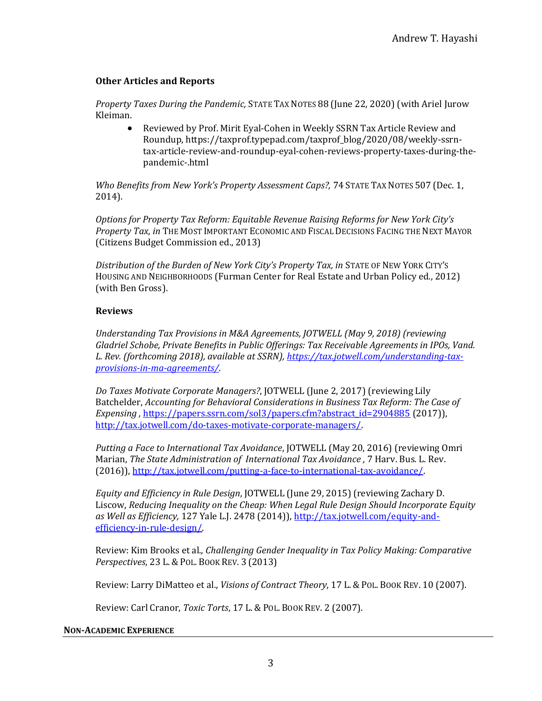# Other Articles and Reports

Property Taxes During the Pandemic, STATE TAX NOTES 88 (June 22, 2020) (with Ariel Jurow Kleiman.

 Reviewed by Prof. Mirit Eyal-Cohen in Weekly SSRN Tax Article Review and Roundup, https://taxprof.typepad.com/taxprof\_blog/2020/08/weekly-ssrntax-article-review-and-roundup-eyal-cohen-reviews-property-taxes-during-thepandemic-.html

Who Benefits from New York's Property Assessment Caps?, 74 STATE TAX NOTES 507 (Dec. 1, 2014).

Options for Property Tax Reform: Equitable Revenue Raising Reforms for New York City's Property Tax, in THE MOST IMPORTANT ECONOMIC AND FISCAL DECISIONS FACING THE NEXT MAYOR (Citizens Budget Commission ed., 2013)

Distribution of the Burden of New York City's Property Tax, in STATE OF NEW YORK CITY'S HOUSING AND NEIGHBORHOODS (Furman Center for Real Estate and Urban Policy ed., 2012) (with Ben Gross).

## Reviews

Understanding Tax Provisions in M&A Agreements, JOTWELL (May 9, 2018) (reviewing Gladriel Schobe, Private Benefits in Public Offerings: Tax Receivable Agreements in IPOs, Vand. L. Rev. (forthcoming 2018), available at SSRN), https://tax.jotwell.com/understanding-taxprovisions-in-ma-agreements/.

Do Taxes Motivate Corporate Managers?, JOTWELL (June 2, 2017) (reviewing Lily Batchelder, Accounting for Behavioral Considerations in Business Tax Reform: The Case of Expensing, https://papers.ssrn.com/sol3/papers.cfm?abstract\_id=2904885 (2017)), http://tax.jotwell.com/do-taxes-motivate-corporate-managers/.

Putting a Face to International Tax Avoidance, JOTWELL (May 20, 2016) (reviewing Omri Marian, The State Administration of International Tax Avoidance, 7 Harv. Bus. L. Rev. (2016)), http://tax.jotwell.com/putting-a-face-to-international-tax-avoidance/.

Equity and Efficiency in Rule Design, JOTWELL (June 29, 2015) (reviewing Zachary D. Liscow, Reducing Inequality on the Cheap: When Legal Rule Design Should Incorporate Equity as Well as Efficiency, 127 Yale L.J. 2478 (2014)), http://tax.jotwell.com/equity-andefficiency-in-rule-design/.

Review: Kim Brooks et al., Challenging Gender Inequality in Tax Policy Making: Comparative Perspectives, 23 L. & POL. BOOK REV. 3 (2013)

Review: Larry DiMatteo et al., Visions of Contract Theory, 17 L. & POL. BOOK REV. 10 (2007).

Review: Carl Cranor, Toxic Torts, 17 L. & POL. BOOK REV. 2 (2007).

## NON-ACADEMIC EXPERIENCE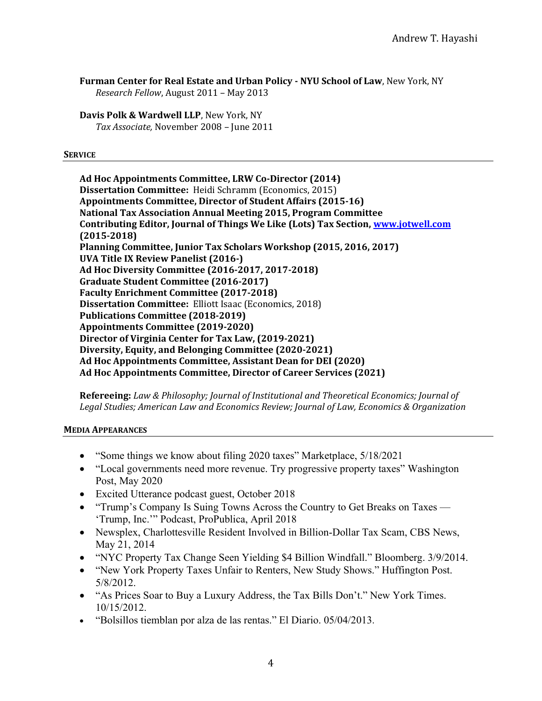Furman Center for Real Estate and Urban Policy - NYU School of Law, New York, NY Research Fellow, August 2011 – May 2013

Davis Polk & Wardwell LLP, New York, NY Tax Associate, November 2008 – June 2011

### **SERVICE**

Ad Hoc Appointments Committee, LRW Co-Director (2014) Dissertation Committee: Heidi Schramm (Economics, 2015) Appointments Committee, Director of Student Affairs (2015-16) National Tax Association Annual Meeting 2015, Program Committee Contributing Editor, Journal of Things We Like (Lots) Tax Section, www.jotwell.com (2015-2018) Planning Committee, Junior Tax Scholars Workshop (2015, 2016, 2017) UVA Title IX Review Panelist (2016-) Ad Hoc Diversity Committee (2016-2017, 2017-2018) Graduate Student Committee (2016-2017) Faculty Enrichment Committee (2017-2018) Dissertation Committee: Elliott Isaac (Economics, 2018) Publications Committee (2018-2019) Appointments Committee (2019-2020) Director of Virginia Center for Tax Law, (2019-2021) Diversity, Equity, and Belonging Committee (2020-2021) Ad Hoc Appointments Committee, Assistant Dean for DEI (2020) Ad Hoc Appointments Committee, Director of Career Services (2021)

Refereeing: Law & Philosophy; Journal of Institutional and Theoretical Economics; Journal of Legal Studies; American Law and Economics Review; Journal of Law, Economics & Organization

## MEDIA APPEARANCES

- "Some things we know about filing 2020 taxes" Marketplace, 5/18/2021
- "Local governments need more revenue. Try progressive property taxes" Washington Post, May 2020
- Excited Utterance podcast guest, October 2018
- "Trump's Company Is Suing Towns Across the Country to Get Breaks on Taxes 'Trump, Inc.'" Podcast, ProPublica, April 2018
- Newsplex, Charlottesville Resident Involved in Billion-Dollar Tax Scam, CBS News, May 21, 2014
- "NYC Property Tax Change Seen Yielding \$4 Billion Windfall." Bloomberg. 3/9/2014.
- "New York Property Taxes Unfair to Renters, New Study Shows." Huffington Post. 5/8/2012.
- "As Prices Soar to Buy a Luxury Address, the Tax Bills Don't." New York Times. 10/15/2012.
- "Bolsillos tiemblan por alza de las rentas." El Diario. 05/04/2013.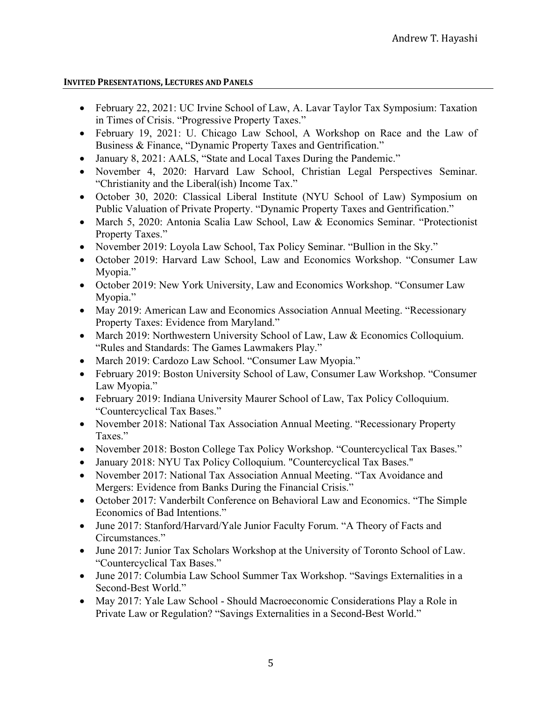## INVITED PRESENTATIONS, LECTURES AND PANELS

- February 22, 2021: UC Irvine School of Law, A. Lavar Taylor Tax Symposium: Taxation in Times of Crisis. "Progressive Property Taxes."
- February 19, 2021: U. Chicago Law School, A Workshop on Race and the Law of Business & Finance, "Dynamic Property Taxes and Gentrification."
- January 8, 2021: AALS, "State and Local Taxes During the Pandemic."
- November 4, 2020: Harvard Law School, Christian Legal Perspectives Seminar. "Christianity and the Liberal(ish) Income Tax."
- October 30, 2020: Classical Liberal Institute (NYU School of Law) Symposium on Public Valuation of Private Property. "Dynamic Property Taxes and Gentrification."
- March 5, 2020: Antonia Scalia Law School, Law & Economics Seminar. "Protectionist Property Taxes."
- November 2019: Loyola Law School, Tax Policy Seminar. "Bullion in the Sky."
- October 2019: Harvard Law School, Law and Economics Workshop. "Consumer Law Myopia."
- October 2019: New York University, Law and Economics Workshop. "Consumer Law Myopia."
- May 2019: American Law and Economics Association Annual Meeting. "Recessionary Property Taxes: Evidence from Maryland."
- March 2019: Northwestern University School of Law, Law & Economics Colloquium. "Rules and Standards: The Games Lawmakers Play."
- March 2019: Cardozo Law School. "Consumer Law Myopia."
- February 2019: Boston University School of Law, Consumer Law Workshop. "Consumer Law Myopia."
- February 2019: Indiana University Maurer School of Law, Tax Policy Colloquium. "Countercyclical Tax Bases."
- November 2018: National Tax Association Annual Meeting. "Recessionary Property Taxes."
- November 2018: Boston College Tax Policy Workshop. "Countercyclical Tax Bases."
- January 2018: NYU Tax Policy Colloquium. "Countercyclical Tax Bases."
- November 2017: National Tax Association Annual Meeting. "Tax Avoidance and Mergers: Evidence from Banks During the Financial Crisis."
- October 2017: Vanderbilt Conference on Behavioral Law and Economics. "The Simple Economics of Bad Intentions."
- June 2017: Stanford/Harvard/Yale Junior Faculty Forum. "A Theory of Facts and Circumstances."
- June 2017: Junior Tax Scholars Workshop at the University of Toronto School of Law. "Countercyclical Tax Bases."
- June 2017: Columbia Law School Summer Tax Workshop. "Savings Externalities in a Second-Best World."
- May 2017: Yale Law School Should Macroeconomic Considerations Play a Role in Private Law or Regulation? "Savings Externalities in a Second-Best World."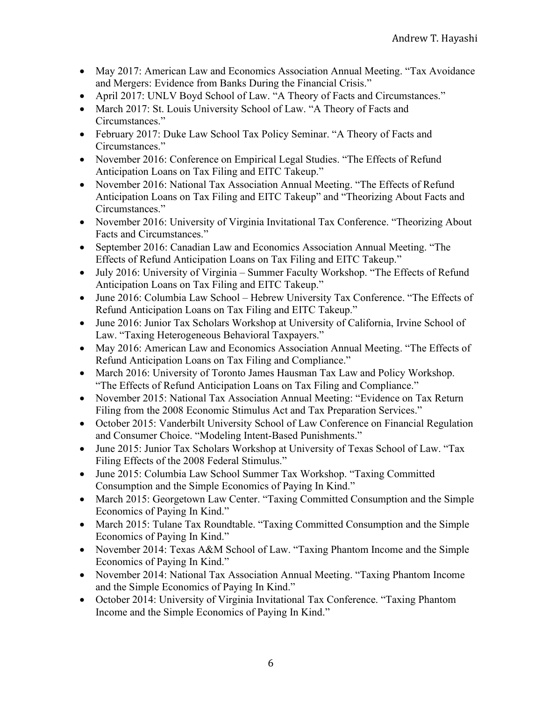- May 2017: American Law and Economics Association Annual Meeting. "Tax Avoidance and Mergers: Evidence from Banks During the Financial Crisis."
- April 2017: UNLV Boyd School of Law. "A Theory of Facts and Circumstances."
- March 2017: St. Louis University School of Law. "A Theory of Facts and Circumstances."
- February 2017: Duke Law School Tax Policy Seminar. "A Theory of Facts and Circumstances."
- November 2016: Conference on Empirical Legal Studies. "The Effects of Refund Anticipation Loans on Tax Filing and EITC Takeup."
- November 2016: National Tax Association Annual Meeting. "The Effects of Refund Anticipation Loans on Tax Filing and EITC Takeup" and "Theorizing About Facts and Circumstances."
- November 2016: University of Virginia Invitational Tax Conference. "Theorizing About Facts and Circumstances."
- September 2016: Canadian Law and Economics Association Annual Meeting. "The Effects of Refund Anticipation Loans on Tax Filing and EITC Takeup."
- July 2016: University of Virginia Summer Faculty Workshop. "The Effects of Refund Anticipation Loans on Tax Filing and EITC Takeup."
- June 2016: Columbia Law School Hebrew University Tax Conference. "The Effects of Refund Anticipation Loans on Tax Filing and EITC Takeup."
- June 2016: Junior Tax Scholars Workshop at University of California, Irvine School of Law. "Taxing Heterogeneous Behavioral Taxpayers."
- May 2016: American Law and Economics Association Annual Meeting. "The Effects of Refund Anticipation Loans on Tax Filing and Compliance."
- March 2016: University of Toronto James Hausman Tax Law and Policy Workshop. "The Effects of Refund Anticipation Loans on Tax Filing and Compliance."
- November 2015: National Tax Association Annual Meeting: "Evidence on Tax Return Filing from the 2008 Economic Stimulus Act and Tax Preparation Services."
- October 2015: Vanderbilt University School of Law Conference on Financial Regulation and Consumer Choice. "Modeling Intent-Based Punishments."
- June 2015: Junior Tax Scholars Workshop at University of Texas School of Law. "Tax Filing Effects of the 2008 Federal Stimulus."
- June 2015: Columbia Law School Summer Tax Workshop. "Taxing Committed Consumption and the Simple Economics of Paying In Kind."
- March 2015: Georgetown Law Center. "Taxing Committed Consumption and the Simple Economics of Paying In Kind."
- March 2015: Tulane Tax Roundtable. "Taxing Committed Consumption and the Simple Economics of Paying In Kind."
- November 2014: Texas A&M School of Law. "Taxing Phantom Income and the Simple Economics of Paying In Kind."
- November 2014: National Tax Association Annual Meeting. "Taxing Phantom Income and the Simple Economics of Paying In Kind."
- October 2014: University of Virginia Invitational Tax Conference. "Taxing Phantom Income and the Simple Economics of Paying In Kind."